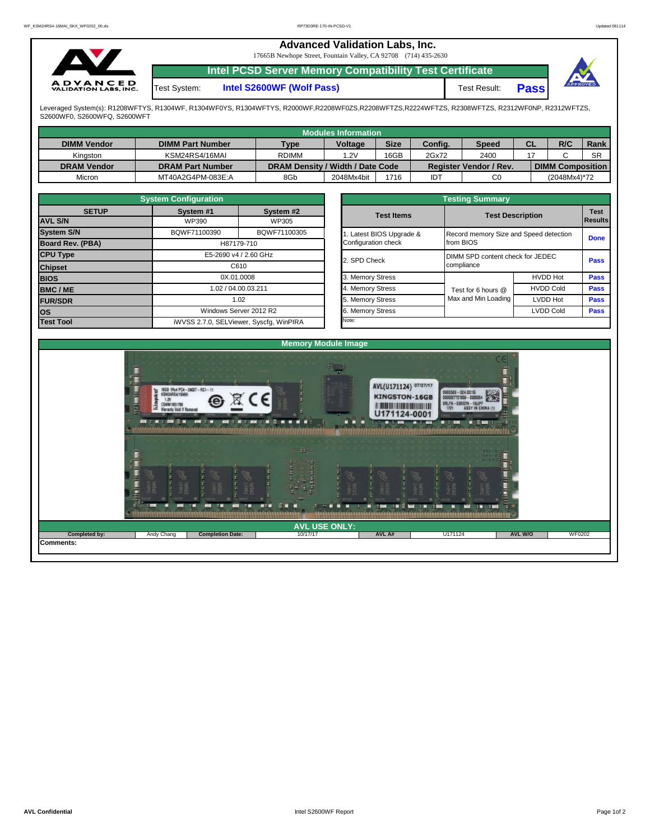## **Advanced Validation Labs, Inc.**  17665B Newhope Street, Fountain Valley, CA 92708 (714) 435-2630 **Intel PCSD Server Memory Compatibility Test Certificate A D V A N C E D**<br>VALIDATION LABS, INC. Test System: **Intel S2600WF (Wolf Pass)** Test Result: **Pass**

Leveraged System(s): R1208WFTYS, R1304WF, R1304WF0YS, R1304WFTYS, R2000WF,R2208WF0ZS,R2208WFTZS,R2224WFTZS, R2308WFTZS, R2312WF0NP, R2312WFTZS, S2600WF0, S2600WFQ, S2600WFT

|                    |                         |                                                         | Modules Information |              |            |                               |             |                         |           |
|--------------------|-------------------------|---------------------------------------------------------|---------------------|--------------|------------|-------------------------------|-------------|-------------------------|-----------|
| <b>DIMM Vendor</b> | <b>DIMM Part Number</b> | <b>Size</b><br><b>Voltage</b><br><b>Type</b><br>Config. |                     | <b>Speed</b> | <b>CL</b>  | R/C                           | <b>Rank</b> |                         |           |
| Kinaston           | KSM24RS4/16MAI          | <b>RDIMM</b>                                            | .2V                 | 16GB         | 2Gx72      | 2400                          |             |                         | <b>SR</b> |
| <b>DRAM Vendor</b> | <b>DRAM Part Number</b> | DRAM Density / Width / Date Code                        |                     |              |            | <b>Register Vendor / Rev.</b> |             | <b>DIMM Composition</b> |           |
| Micron             | MT40A2G4PM-083E:A       | 8Gb                                                     | 2048Mx4bit          | 1716         | <b>IDT</b> | C0                            |             | (2048Mx4)*72            |           |

|                   | <b>System Configuration</b>   |                                         |              | <b>Testing Summary</b>           |                                        |                         |             |  |  |  |  |  |  |
|-------------------|-------------------------------|-----------------------------------------|--------------|----------------------------------|----------------------------------------|-------------------------|-------------|--|--|--|--|--|--|
| <b>SETUP</b>      | System #1                     | System #2                               |              | <b>Test Items</b>                |                                        | <b>Test Description</b> |             |  |  |  |  |  |  |
| <b>AVL S/N</b>    | WP390                         | WP305                                   |              |                                  |                                        |                         |             |  |  |  |  |  |  |
| <b>System S/N</b> | BQWF71100390                  | BQWF71100305                            |              | Latest BIOS Upgrade &            | Record memory Size and Speed detection | <b>Done</b>             |             |  |  |  |  |  |  |
| Board Rev. (PBA)  |                               | H87179-710                              |              | Configuration check              | from BIOS                              |                         |             |  |  |  |  |  |  |
| <b>CPU Type</b>   | E5-2690 v4 / 2.60 GHz<br>C610 |                                         | 2. SPD Check | DIMM SPD content check for JEDEC |                                        |                         |             |  |  |  |  |  |  |
| <b>Chipset</b>    |                               |                                         |              |                                  | compliance                             | <b>Pass</b>             |             |  |  |  |  |  |  |
| <b>BIOS</b>       |                               | 0X.01.0008                              |              | 3. Memory Stress                 |                                        | <b>HVDD Hot</b>         | <b>Pass</b> |  |  |  |  |  |  |
| <b>BMC/ME</b>     |                               | 1.02 / 04.00.03.211                     |              | 4. Memory Stress                 | Test for 6 hours @                     | <b>HVDD Cold</b>        | <b>Pass</b> |  |  |  |  |  |  |
| <b>FUR/SDR</b>    |                               | 1.02                                    |              | 5. Memory Stress                 | Max and Min Loading                    | <b>LVDD Hot</b>         | <b>Pass</b> |  |  |  |  |  |  |
| <b>OS</b>         |                               | Windows Server 2012 R2                  |              | 6. Memory Stress                 |                                        | <b>LVDD Cold</b>        | <b>Pass</b> |  |  |  |  |  |  |
| <b>Test Tool</b>  |                               | iWVSS 2.7.0, SELViewer, Syscfq, WinPIRA |              |                                  |                                        |                         |             |  |  |  |  |  |  |